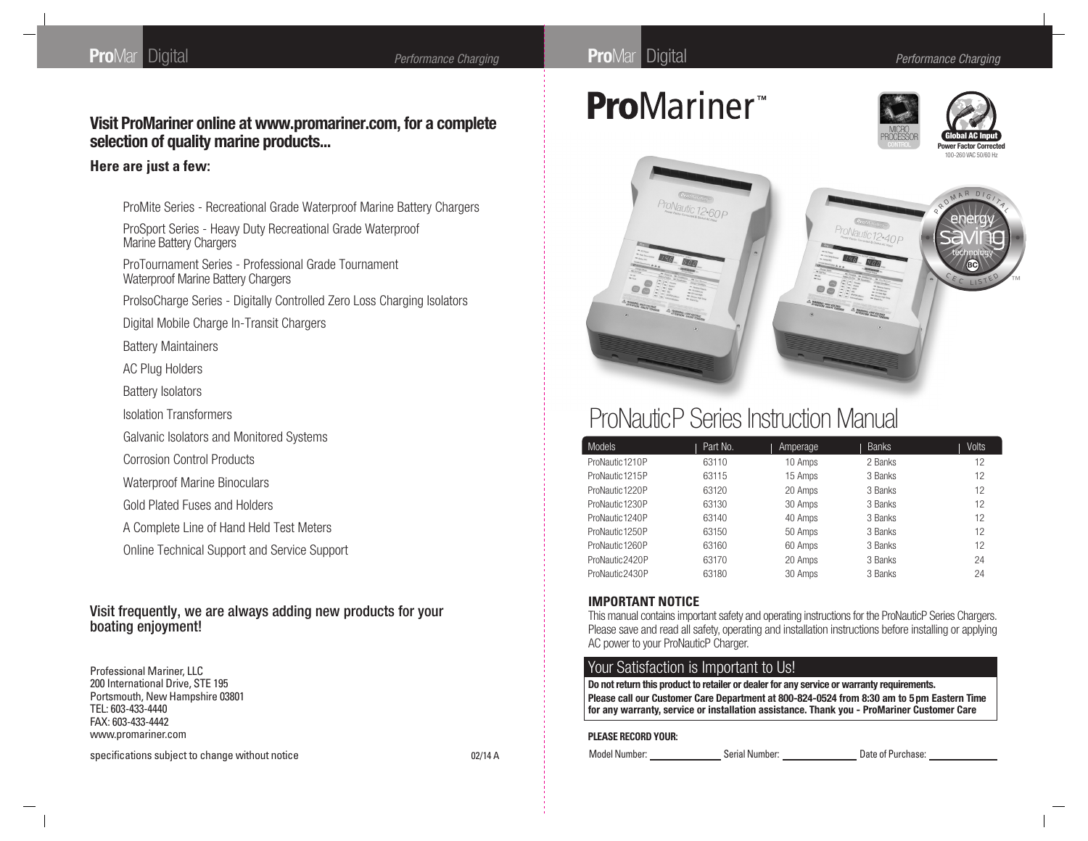### **Visit ProMariner online at www.promariner.com, for a complete selection of quality marine products...**

#### **Here are just a few:**

ProMite Series - Recreational Grade Waterproof Marine Battery Chargers

ProSport Series - Heavy Duty Recreational Grade Waterproof Marine Battery Chargers

ProTournament Series - Professional Grade Tournament Waterproof Marine Battery Chargers

ProIsoCharge Series - Digitally Controlled Zero Loss Charging Isolators

Digital Mobile Charge In-Transit Chargers

Battery Maintainers

AC Plug Holders

Battery Isolators

Isolation Transformers

Galvanic Isolators and Monitored Systems

Corrosion Control Products

Waterproof Marine Binoculars

Gold Plated Fuses and Holders

A Complete Line of Hand Held Test Meters

Online Technical Support and Service Support

#### Visit frequently, we are always adding new products for your boating enjoyment!

Professional Mariner, LLC 200 International Drive, STE 195 Portsmouth, New Hampshire 03801 TEL: 603-433-4440 FAX: 603-433-4442 www.promariner.com

specifications subject to change without notice 02/14 A



# **ProMariner**™







# ProNauticP Series Instruction Manual

| <b>Models</b>   | Part No. | Amperage | <b>Banks</b> | <b>Volts</b> |
|-----------------|----------|----------|--------------|--------------|
| ProNautic 1210P | 63110    | 10 Amps  | 2 Banks      | 12           |
| ProNautic 1215P | 63115    | 15 Amps  | 3 Banks      | 12           |
| ProNautic 1220P | 63120    | 20 Amps  | 3 Banks      | 12           |
| ProNautic 1230P | 63130    | 30 Amps  | 3 Banks      | 12           |
| ProNautic 1240P | 63140    | 40 Amps  | 3 Banks      | 12           |
| ProNautic 1250P | 63150    | 50 Amps  | 3 Banks      | 12           |
| ProNautic 1260P | 63160    | 60 Amps  | 3 Banks      | 12           |
| ProNautic2420P  | 63170    | 20 Amps  | 3 Banks      | 24           |
| ProNautic2430P  | 63180    | 30 Amps  | 3 Banks      | 24           |

#### **IMPORTANT NOTICE**

This manual contains important safety and operating instructions for the ProNauticP Series Chargers. Please save and read all safety, operating and installation instructions before installing or applying AC power to your ProNauticP Charger.

#### Your Satisfaction is Important to Us!

**Do not return this product to retailer or dealer for any service or warranty requirements.**

**Please call our Customer Care Department at 800-824-0524 from 8:30 am to 5pm Eastern Time for any warranty, service or installation assistance. Thank you - ProMariner Customer Care**

#### **PLEASE RECORD YOUR:**

Model Number: Serial Number: Serial Number: Date of Purchase: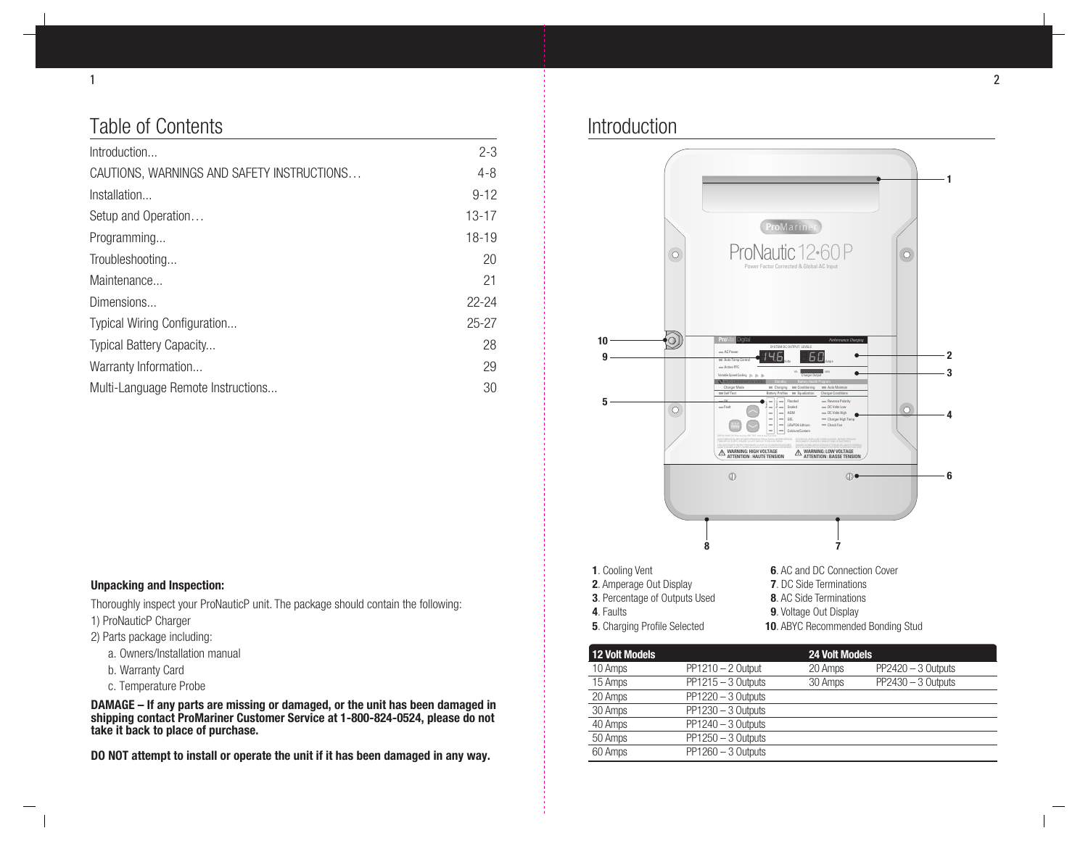# Table of Contents

| Introduction                               | $2 - 3$   |
|--------------------------------------------|-----------|
| CAUTIONS, WARNINGS AND SAFETY INSTRUCTIONS | $4 - 8$   |
| Installation                               | $9 - 12$  |
| Setup and Operation                        | $13 - 17$ |
| Programming                                | $18-19$   |
| Troubleshooting                            | 20        |
| Maintenance                                | 21        |
| Dimensions                                 | $22 - 24$ |
| Typical Wiring Configuration               | $25 - 27$ |
| <b>Typical Battery Capacity</b>            | 28        |
| Warranty Information                       | 29        |
| Multi-Language Remote Instructions         | 30        |

### Introduction



#### **Unpacking and Inspection:**

Thoroughly inspect your ProNauticP unit. The package should contain the following:

- 1) ProNauticP Charger
- 2) Parts package including:
	- a. Owners/Installation manual
	- b. Warranty Card
	- c. Temperature Probe

**DAMAGE – If any parts are missing or damaged, or the unit has been damaged in shipping contact ProMariner Customer Service at 1-800-824-0524, please do not take it back to place of purchase.**

**DO NOT attempt to install or operate the unit if it has been damaged in any way.**

**12 Volt Models 24 Volt Models** 10 Amps PP1210 – 2 Output 20 Amps PP2420 – 3 Outputs 15 Amps PP1215 – 3 Outputs 30 Amps PP2430 – 3 Outputs 20 Amps PP1220 – 3 Outputs 30 Amps PP1230 – 3 Outputs 40 Amps PP1240 – 3 Outputs 50 Amps PP1250 – 3 Outputs 60 Amps PP1260 – 3 Outputs

**10. ABYC Recommended Bonding Stud**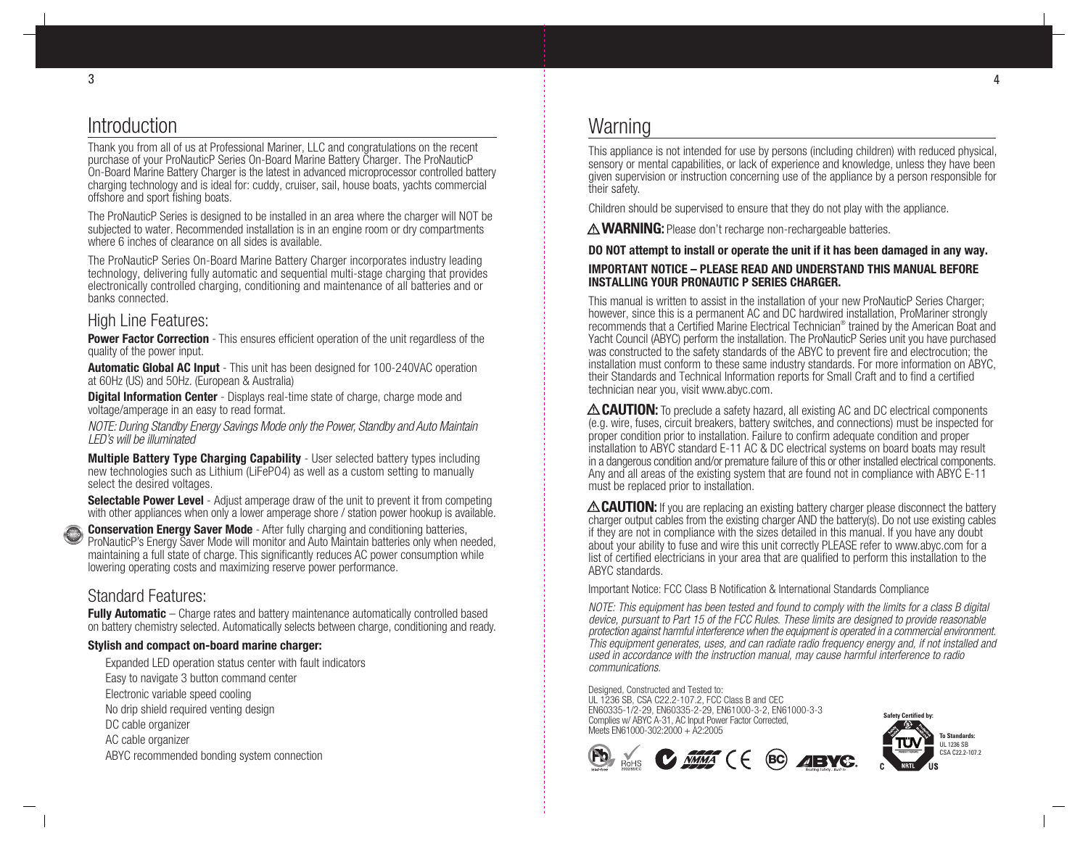### Introduction

Thank you from all of us at Professional Mariner, LLC and congratulations on the recent purchase of your ProNauticP Series On-Board Marine Battery Charger. The ProNauticP On-Board Marine Battery Charger is the latest in advanced microprocessor controlled battery charging technology and is ideal for: cuddy, cruiser, sail, house boats, yachts commercial offshore and sport fishing boats.

The ProNauticP Series is designed to be installed in an area where the charger will NOT be subjected to water. Recommended installation is in an engine room or dry compartments where 6 inches of clearance on all sides is available.

The ProNauticP Series On-Board Marine Battery Charger incorporates industry leading technology, delivering fully automatic and sequential multi-stage charging that provides electronically controlled charging, conditioning and maintenance of all batteries and or banks connected.

#### High Line Features:

**Power Factor Correction** - This ensures efficient operation of the unit regardless of the quality of the power input.

**Automatic Global AC Input** - This unit has been designed for 100-240VAC operation at 60Hz (US) and 50Hz. (European & Australia)

**Digital Information Center** - Displays real-time state of charge, charge mode and voltage/amperage in an easy to read format.

NOTE: During Standby Energy Savings Mode only the Power, Standby and Auto Maintain LED's will be illuminated

**Multiple Battery Type Charging Capability** - User selected battery types including new technologies such as Lithium (LiFePO4) as well as a custom setting to manually select the desired voltages.

**Selectable Power Level** - Adjust amperage draw of the unit to prevent it from competing with other appliances when only a lower amperage shore / station power hookup is available.

**Conservation Energy Saver Mode** - After fully charging and conditioning batteries, ProNauticP's Energy Saver Mode will monitor and Auto Maintain batteries only when needed, maintaining a full state of charge. This significantly reduces AC power consumption while lowering operating costs and maximizing reserve power performance.  $\mathbb{R}$ 

#### Standard Features:

C E C L I S TE saving energy technology

> **Fully Automatic** – Charge rates and battery maintenance automatically controlled based on battery chemistry selected. Automatically selects between charge, conditioning and ready.

#### **Stylish and compact on-board marine charger:**

Expanded LED operation status center with fault indicators Easy to navigate 3 button command center Electronic variable speed cooling No drip shield required venting design DC cable organizer AC cable organizer ABYC recommended bonding system connection

### **Warning**

This appliance is not intended for use by persons (including children) with reduced physical, sensory or mental capabilities, or lack of experience and knowledge, unless they have been given supervision or instruction concerning use of the appliance by a person responsible for their safety.

Children should be supervised to ensure that they do not play with the appliance.

A **WARNING:** Please don't recharge non-rechargeable batteries.

#### **DO NOT attempt to install or operate the unit if it has been damaged in any way.**

#### **IMPORTANT NOTICE – PLEASE READ AND UNDERSTAND THIS MANUAL BEFORE INSTALLING YOUR PRONAUTIC P SERIES CHARGER.**

This manual is written to assist in the installation of your new ProNauticP Series Charger; however, since this is a permanent AC and DC hardwired installation, ProMariner strongly recommends that a Certified Marine Electrical Technician® trained by the American Boat and Yacht Council (ABYC) perform the installation. The ProNauticP Series unit you have purchased was constructed to the safety standards of the ABYC to prevent fire and electrocution; the installation must conform to these same industry standards. For more information on ABYC, their Standards and Technical Information reports for Small Craft and to find a certified technician near you, visit www.abyc.com.

 **CAUTION:** To preclude a safety hazard, all existing AC and DC electrical components (e.g. wire, fuses, circuit breakers, battery switches, and connections) must be inspected for proper condition prior to installation. Failure to confirm adequate condition and proper installation to ABYC standard E-11 AC & DC electrical systems on board boats may result in a dangerous condition and/or premature failure of this or other installed electrical components. Any and all areas of the existing system that are found not in compliance with ABYC E-11 must be replaced prior to installation.

 **CAUTION:** If you are replacing an existing battery charger please disconnect the battery charger output cables from the existing charger AND the battery(s). Do not use existing cables if they are not in compliance with the sizes detailed in this manual. If you have any doubt about your ability to fuse and wire this unit correctly PLEASE refer to www.abyc.com for a list of certified electricians in your area that are qualified to perform this installation to the ABYC standards.

Important Notice: FCC Class B Notification & International Standards Compliance

NOTE: This equipment has been tested and found to comply with the limits for a class B digital device, pursuant to Part 15 of the FCC Rules. These limits are designed to provide reasonable protection against harmful interference when the equipment is operated in a commercial environment. This equipment generates, uses, and can radiate radio frequency energy and, if not installed and used in accordance with the instruction manual, may cause harmful interference to radio communications.

**BC**

**AEVG** 

Designed, Constructed and Tested to: UL 1236 SB, CSA C22.2-107.2, FCC Class B and CEC EN60335-1/2-29, EN60335-2-29, EN61000-3-2, EN61000-3-3 Complies w/ ABYC A-31, AC Input Power Factor Corrected, Meets EN61000-302:2000 + A2:2005



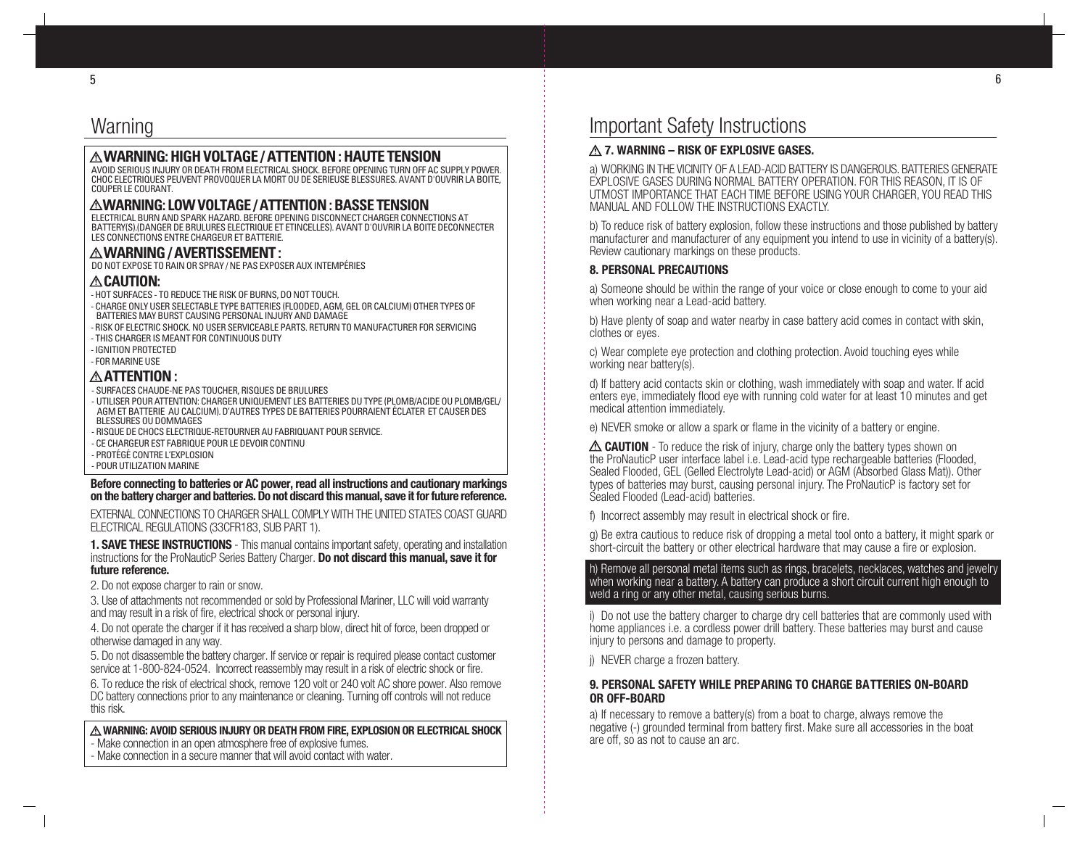# Warning

#### **WARNING: HIGH VOLTAGE / ATTENTION : HAUTE TENSION**

AVOID SERIOUS INJURY OR DEATH FROM ELECTRICAL SHOCK. BEFORE OPENING TURN OFF AC SUPPLY POWER.<br>CHOC ELECTRIQUES PEUVENT PROVOQUER LA MORT OU DE SERIEUSE BLESSURES. AVANT D'OUVRIR LA BOITE, COUPER LE COURANT.

### **WARNING: LOW VOLTAGE / ATTENTION : BASSE TENSION**

ELECTRICAL BURN AND SPARK HAZARD. BEFORE OPENING DISCONNECT CHARGER CONNECTIONS AT BATTERY(S).(DANGER DE BRULURES ELECTRIQUE ET ETINCELLES). AVANT D'OUVRIR LA BOITE DECONNECTER LES CONNECTIONS ENTRE CHARGEUR ET BATTERIE.

#### **WARNING / AVERTISSEMENT :**

DO NOT EXPOSE TO RAIN OR SPRAY / NE PAS EXPOSER AUX INTEMPÉRIES

#### $\bigtriangleup$ caution:

- HOT SURFACES TO REDUCE THE RISK OF BURNS, DO NOT TOUCH.
- CHARGE ONLY USER SELECTABLE TYPE BATTERIES (FLOODED, AGM, GEL OR CALCIUM) OTHER TYPES OF BATTERIES MAY BURST CAUSING PERSONAL INJURY AND DAMAGE
- RISK OF ELECTRIC SHOCK. NO USER SERVICEABLE PARTS. RETURN TO MANUFACTURER FOR SERVICING
- THIS CHARGER IS MEANT FOR CONTINUOUS DUTY
- IGNITION PROTECTED
- FOR MARINE USE

#### **ATTENTION :**

- 
- SURFACES CHAUDE-NE PAS TOUCHER, RISQUES DE BRULURES<br>- UTILISER POUR ATTENTION: CHARGER UNIQUEMENT LES BATTERIES DU TYPE (PLOMB/ACIDE OU PLOMB/GEL/ AGM ET BATTERIE AU CALCIUM). D'AUTRES TYPES DE BATTERIES POURRAIENT ÉCLATER ET CAUSER DES BLESSURES OU DOMMAGES
- RISQUE DE CHOCS ELECTRIQUE-RETOURNER AU FABRIQUANT POUR SERVICE.
- CE CHARGEUR EST FABRIQUE POUR LE DEVOIR CONTINU
- PROTÉGÉ CONTRE L'EXPLOSION
- POUR UTILIZATION MARINE

**Before connecting to batteries or AC power, read all instructions and cautionary markings on the battery charger and batteries. Do not discard this manual, save it for future reference.**

EXTERNAL CONNECTIONS TO CHARGER SHALL COMPLY WITH THE UNITED STATES COAST GUARD ELECTRICAL REGULATIONS (33CFR183, SUB PART 1).

**1. SAVE THESE INSTRUCTIONS** - This manual contains important safety, operating and installation instructions for the ProNauticP Series Battery Charger. **Do not discard this manual, save it for future reference.**

2. Do not expose charger to rain or snow.

3. Use of attachments not recommended or sold by Professional Mariner, LLC will void warranty and may result in a risk of fire, electrical shock or personal injury.

4. Do not operate the charger if it has received a sharp blow, direct hit of force, been dropped or otherwise damaged in any way.

5. Do not disassemble the battery charger. If service or repair is required please contact customer service at 1-800-824-0524. Incorrect reassembly may result in a risk of electric shock or fire.

6. To reduce the risk of electrical shock, remove 120 volt or 240 volt AC shore power. Also remove DC battery connections prior to any maintenance or cleaning. Turning off controls will not reduce this risk.

### **WARNING: AVOID SERIOUS INJURY OR DEATH FROM FIRE, EXPLOSION OR ELECTRICAL SHOCK**

- Make connection in an open atmosphere free of explosive fumes.
- Make connection in a secure manner that will avoid contact with water.

# Important Safety Instructions

#### **7. WARNING – RISK OF EXPLOSIVE GASES.**

a) WORKING IN THE VICINITY OF A LEAD-ACID BATTERY IS DANGEROUS. BATTERIES GENERATE EXPLOSIVE GASES DURING NORMAL BATTERY OPERATION. FOR THIS REASON, IT IS OF UTMOST IMPORTANCE THAT EACH TIME BEFORE USING YOUR CHARGER, YOU READ THIS MANUAL AND FOLLOW THE INSTRUCTIONS EXACTLY.

b) To reduce risk of battery explosion, follow these instructions and those published by battery manufacturer and manufacturer of any equipment you intend to use in vicinity of a battery(s). Review cautionary markings on these products.

#### **8. PERSONAL PRECAUTIONS**

a) Someone should be within the range of your voice or close enough to come to your aid when working near a Lead-acid battery.

b) Have plenty of soap and water nearby in case battery acid comes in contact with skin, clothes or eyes.

c) Wear complete eye protection and clothing protection. Avoid touching eyes while working near battery(s).

d) If battery acid contacts skin or clothing, wash immediately with soap and water. If acid enters eye, immediately flood eye with running cold water for at least 10 minutes and get medical attention immediately.

e) NEVER smoke or allow a spark or flame in the vicinity of a battery or engine.

 **CAUTION** - To reduce the risk of injury, charge only the battery types shown on the ProNauticP user interface label i.e. Lead-acid type rechargeable batteries (Flooded, Sealed Flooded, GEL (Gelled Electrolyte Lead-acid) or AGM (Absorbed Glass Mat)). Other types of batteries may burst, causing personal injury. The ProNauticP is factory set for Sealed Flooded (Lead-acid) batteries.

f) Incorrect assembly may result in electrical shock or fire.

g) Be extra cautious to reduce risk of dropping a metal tool onto a battery, it might spark or short-circuit the battery or other electrical hardware that may cause a fire or explosion.

#### h) Remove all personal metal items such as rings, bracelets, necklaces, watches and jewelry when working near a battery. A battery can produce a short circuit current high enough to weld a ring or any other metal, causing serious burns.

i) Do not use the battery charger to charge dry cell batteries that are commonly used with home appliances i.e. a cordless power drill battery. These batteries may burst and cause injury to persons and damage to property.

i) NEVER charge a frozen battery.

#### **9. PERSONAL SAFETY WHILE PREPARING TO CHARGE BATTERIES ON-BOARD OR OFF-BOARD**

a) If necessary to remove a battery(s) from a boat to charge, always remove the negative (-) grounded terminal from battery first. Make sure all accessories in the boat are off, so as not to cause an arc.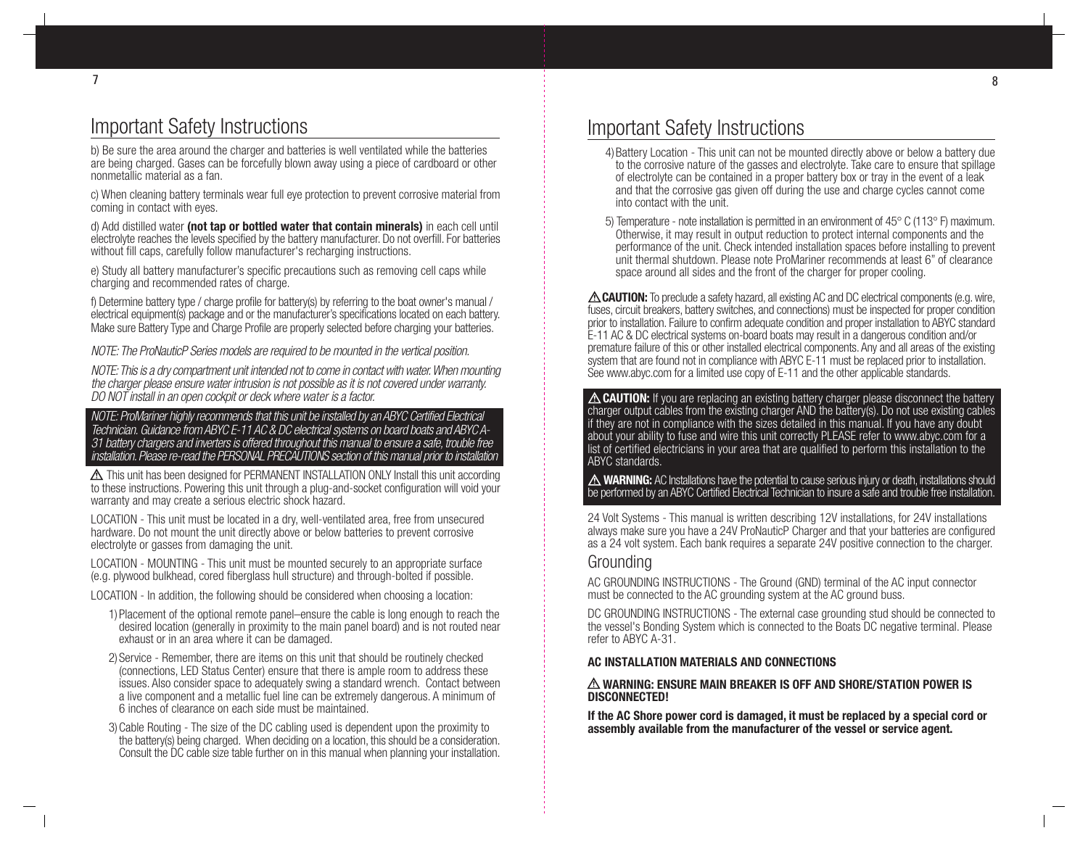b) Be sure the area around the charger and batteries is well ventilated while the batteries are being charged. Gases can be forcefully blown away using a piece of cardboard or other nonmetallic material as a fan.

c) When cleaning battery terminals wear full eye protection to prevent corrosive material from coming in contact with eyes.

d) Add distilled water **(not tap or bottled water that contain minerals)** in each cell until electrolyte reaches the levels specified by the battery manufacturer. Do not overfill. For batteries without fill caps, carefully follow manufacturer's recharging instructions.

e) Study all battery manufacturer's specific precautions such as removing cell caps while charging and recommended rates of charge.

f) Determine battery type / charge profile for battery(s) by referring to the boat owner's manual / electrical equipment(s) package and or the manufacturer's specifications located on each battery. Make sure Battery Type and Charge Profile are properly selected before charging your batteries.

NOTE: The ProNauticP Series models are required to be mounted in the vertical position.

NOTE: This is a dry compartment unit intended not to come in contact with water. When mounting the charger please ensure water intrusion is not possible as it is not covered under warranty. DO NOT install in an open cockpit or deck where water is a factor.

#### NOTE: ProMariner highly recommends that this unit be installed by an ABYC Certified Electrical Technician. Guidance from ABYC E-11 AC & DC electrical systems on board boats and ABYC A-31 battery chargers and inverters is offered throughout this manual to ensure a safe, trouble free installation. Please re-read the PERSONAL PRECAUTIONS section of this manual prior to installation.

 This unit has been designed for PERMANENT INSTALLATION ONLY Install this unit according to these instructions. Powering this unit through a plug-and-socket configuration will void your warranty and may create a serious electric shock hazard.

LOCATION - This unit must be located in a dry, well-ventilated area, free from unsecured hardware. Do not mount the unit directly above or below batteries to prevent corrosive electrolyte or gasses from damaging the unit.

LOCATION - MOUNTING - This unit must be mounted securely to an appropriate surface (e.g. plywood bulkhead, cored fiberglass hull structure) and through-bolted if possible.

- LOCATION In addition, the following should be considered when choosing a location:
	- 1)Placement of the optional remote panel–ensure the cable is long enough to reach the desired location (generally in proximity to the main panel board) and is not routed near exhaust or in an area where it can be damaged.
	- 2)Service Remember, there are items on this unit that should be routinely checked (connections, LED Status Center) ensure that there is ample room to address these issues. Also consider space to adequately swing a standard wrench. Contact between a live component and a metallic fuel line can be extremely dangerous. A minimum of 6 inches of clearance on each side must be maintained.
	- 3)Cable Routing The size of the DC cabling used is dependent upon the proximity to the battery(s) being charged. When deciding on a location, this should be a consideration. Consult the DC cable size table further on in this manual when planning your installation.

# Important Safety Instructions

- 4)Battery Location This unit can not be mounted directly above or below a battery due to the corrosive nature of the gasses and electrolyte. Take care to ensure that spillage of electrolyte can be contained in a proper battery box or tray in the event of a leak and that the corrosive gas given off during the use and charge cycles cannot come into contact with the unit.
- 5) Temperature note installation is permitted in an environment of 45° C (113° F) maximum. Otherwise, it may result in output reduction to protect internal components and the performance of the unit. Check intended installation spaces before installing to prevent unit thermal shutdown. Please note ProMariner recommends at least 6" of clearance space around all sides and the front of the charger for proper cooling.

 **CAUTION:** To preclude a safety hazard, all existing AC and DC electrical components (e.g. wire, fuses, circuit breakers, battery switches, and connections) must be inspected for proper condition prior to installation. Failure to confirm adequate condition and proper installation to ABYC standard E-11 AC & DC electrical systems on-board boats may result in a dangerous condition and/or premature failure of this or other installed electrical components. Any and all areas of the existing system that are found not in compliance with ABYC E-11 must be replaced prior to installation. See www.abyc.com for a limited use copy of E-11 and the other applicable standards.

 $\triangle$  **CAUTION:** If you are replacing an existing battery charger please disconnect the battery charger output cables from the existing charger AND the battery(s). Do not use existing cables if they are not in compliance with the sizes detailed in this manual. If you have any doubt about your ability to fuse and wire this unit correctly PLEASE refer to www.abyc.com for a list of certified electricians in your area that are qualified to perform this installation to the ABYC standards.

 **WARNING:** AC Installations have the potential to cause serious injury or death, installations should be performed by an ABYC Certified Electrical Technician to insure a safe and trouble free installation.

24 Volt Systems - This manual is written describing 12V installations, for 24V installations always make sure you have a 24V ProNauticP Charger and that your batteries are configured as a 24 volt system. Each bank requires a separate 24V positive connection to the charger.

### Grounding

AC GROUNDING INSTRUCTIONS - The Ground (GND) terminal of the AC input connector must be connected to the AC grounding system at the AC ground buss.

DC GROUNDING INSTRUCTIONS - The external case grounding stud should be connected to the vessel's Bonding System which is connected to the Boats DC negative terminal. Please refer to ABYC A-31.

#### **AC INSTALLATION MATERIALS AND CONNECTIONS**

#### **WARNING: ENSURE MAIN BREAKER IS OFF AND SHORE/STATION POWER IS DISCONNECTED!**

**If the AC Shore power cord is damaged, it must be replaced by a special cord or assembly available from the manufacturer of the vessel or service agent.**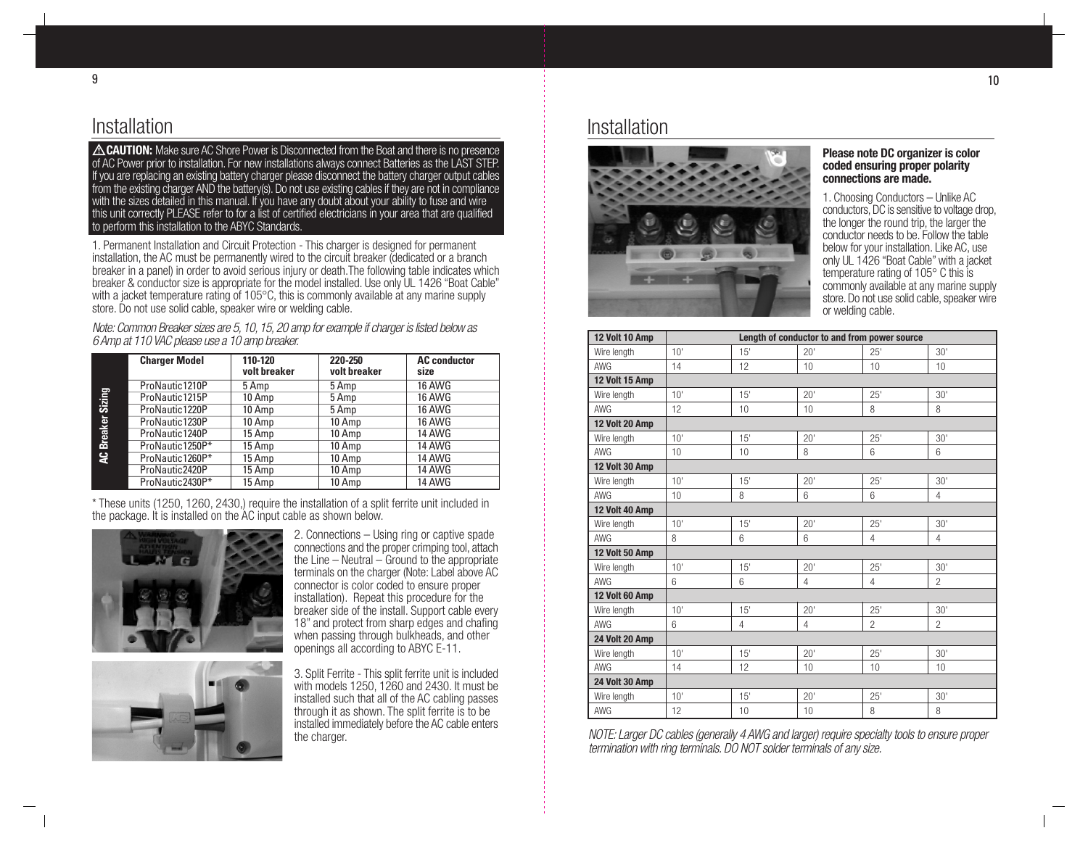### Installation

**EXAUTION:** Make sure AC Shore Power is Disconnected from the Boat and there is no presence of AC Power prior to installation. For new installations always connect Batteries as the LAST STEP. If you are replacing an existing battery charger please disconnect the battery charger output cables from the existing charger AND the battery(s). Do not use existing cables if they are not in compliance with the sizes detailed in this manual. If you have any doubt about your ability to fuse and wire this unit correctly PLEASE refer to for a list of certified electricians in your area that are qualified to perform this installation to the ABYC Standards.

1. Permanent Installation and Circuit Protection - This charger is designed for permanent installation, the AC must be permanently wired to the circuit breaker (dedicated or a branch breaker in a panel) in order to avoid serious injury or death.The following table indicates which breaker & conductor size is appropriate for the model installed. Use only UL 1426 "Boat Cable" with a jacket temperature rating of 105 $\degree$ C, this is commonly available at any marine supply store. Do not use solid cable, speaker wire or welding cable.

Note: Common Breaker sizes are 5, 10, 15, 20 amp for example if charger is listed below as 6 Amp at 110 VAC please use a 10 amp breaker.

|                   | <b>Charger Model</b> | 110-120<br>volt breaker | 220-250<br>volt breaker | <b>AC</b> conductor<br>size |
|-------------------|----------------------|-------------------------|-------------------------|-----------------------------|
|                   | ProNautic1210P       | 5 Amp                   | 5 Amp                   | 16 AWG                      |
|                   | ProNautic1215P       | 10 Amp                  | 5 Amp                   | <b>16 AWG</b>               |
|                   | ProNautic1220P       | 10 Amp                  | 5 Amp                   | <b>16 AWG</b>               |
|                   | ProNautic1230P       | 10 Amp                  | 10 Amp                  | 16 AWG                      |
|                   | ProNautic1240P       | 15 Amp                  | 10 Amp                  | 14 AWG                      |
| AC Breaker Sizing | ProNautic1250P*      | 15 Amp                  | 10 Amp                  | <b>14 AWG</b>               |
|                   | ProNautic1260P*      | 15 Amp                  | 10 Amp                  | <b>14 AWG</b>               |
|                   | ProNautic2420P       | 15 Amp                  | 10 Amp                  | 14 AWG                      |
|                   | ProNautic2430P*      | 15 Amp                  | 10 Amp                  | 14 AWG                      |

\* These units (1250, 1260, 2430,) require the installation of a split ferrite unit included in the package. It is installed on the AC input cable as shown below.



2. Connections – Using ring or captive spade connections and the proper crimping tool, attach the Line – Neutral – Ground to the appropriate terminals on the charger (Note: Label above AC connector is color coded to ensure proper installation). Repeat this procedure for the breaker side of the install. Support cable every 18" and protect from sharp edges and chafing when passing through bulkheads, and other openings all according to ABYC E-11.



3. Split Ferrite - This split ferrite unit is included with models 1250, 1260 and 2430. It must be installed such that all of the AC cabling passes through it as shown. The split ferrite is to be installed immediately before the AC cable enters the charger.

### Installation



#### **Please note DC organizer is color coded ensuring proper polarity connections are made.**

1. Choosing Conductors – Unlike AC conductors, DC is sensitive to voltage drop, the longer the round trip, the larger the conductor needs to be. Follow the table below for your installation. Like AC, use only UL 1426 "Boat Cable" with a jacket temperature rating of 105° C this is commonly available at any marine supply store. Do not use solid cable, speaker wire or welding cable.

| 12 Volt 10 Amp | Length of conductor to and from power source |     |                 |                |                 |
|----------------|----------------------------------------------|-----|-----------------|----------------|-----------------|
| Wire length    | 10'                                          | 15' | 20'             | 25'            | 30'             |
| <b>AWG</b>     | 14                                           | 12  | 10              | 10             | 10              |
| 12 Volt 15 Amp |                                              |     |                 |                |                 |
| Wire length    | 10 <sup>1</sup>                              | 15' | 20'             | 25'            | 30 <sup>1</sup> |
| AWG            | 12                                           | 10  | 10              | 8              | 8               |
| 12 Volt 20 Amp |                                              |     |                 |                |                 |
| Wire length    | 10'                                          | 15' | 20'             | 25'            | 30 <sup>1</sup> |
| AWG            | 10                                           | 10  | 8               | 6              | 6               |
| 12 Volt 30 Amp |                                              |     |                 |                |                 |
| Wire length    | 10 <sup>1</sup>                              | 15' | 20'             | 25'            | 30 <sup>1</sup> |
| AWG            | 10                                           | 8   | 6               | 6              | 4               |
| 12 Volt 40 Amp |                                              |     |                 |                |                 |
| Wire length    | 10'                                          | 15' | 20'             | 25'            | 30'             |
| AWG            | 8                                            | 6   | 6               | $\overline{4}$ | $\overline{4}$  |
| 12 Volt 50 Amp |                                              |     |                 |                |                 |
| Wire length    | 10 <sup>1</sup>                              | 15' | 20'             | 25'            | 30 <sup>1</sup> |
| AWG            | 6                                            | 6   | 4               | $\overline{4}$ | $\mathfrak{p}$  |
| 12 Volt 60 Amp |                                              |     |                 |                |                 |
| Wire length    | 10 <sup>1</sup>                              | 15' | 20'             | 25'            | 30'             |
| AWG            | 6                                            | 4   | 4               | $\overline{2}$ | $\overline{2}$  |
| 24 Volt 20 Amp |                                              |     |                 |                |                 |
| Wire length    | 10'                                          | 15' | 20 <sup>1</sup> | 25'            | 30'             |
| AWG            | 14                                           | 12  | 10              | 10             | 10              |
| 24 Volt 30 Amp |                                              |     |                 |                |                 |
| Wire length    | 10 <sup>1</sup>                              | 15' | 20'             | 25'            | 30'             |
| AWG            | 12                                           | 10  | 10              | 8              | 8               |

NOTE: Larger DC cables (generally 4 AWG and larger) require specialty tools to ensure proper termination with ring terminals. DO NOT solder terminals of any size.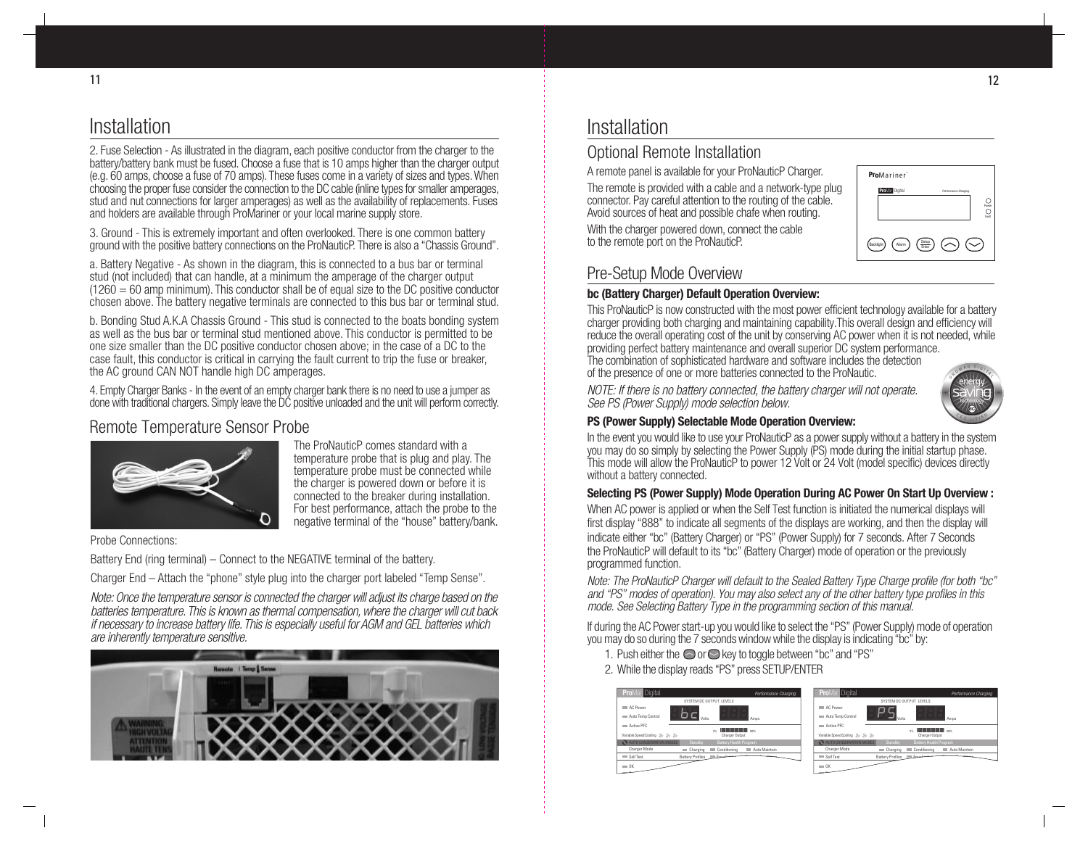# Installation

2. Fuse Selection - As illustrated in the diagram, each positive conductor from the charger to the battery/battery bank must be fused. Choose a fuse that is 10 amps higher than the charger output (e.g. 60 amps, choose a fuse of 70 amps). These fuses come in a variety of sizes and types. When choosing the proper fuse consider the connection to the DC cable (inline types for smaller amperages, stud and nut connections for larger amperages) as well as the availability of replacements. Fuses and holders are available through ProMariner or your local marine supply store.

3. Ground - This is extremely important and often overlooked. There is one common battery ground with the positive battery connections on the ProNauticP. There is also a "Chassis Ground".

a. Battery Negative - As shown in the diagram, this is connected to a bus bar or terminal stud (not included) that can handle, at a minimum the amperage of the charger output  $(1260 = 60$  amp minimum). This conductor shall be of equal size to the DC positive conductor chosen above. The battery negative terminals are connected to this bus bar or terminal stud.

b. Bonding Stud A.K.A Chassis Ground - This stud is connected to the boats bonding system as well as the bus bar or terminal stud mentioned above. This conductor is permitted to be one size smaller than the DC positive conductor chosen above; in the case of a DC to the case fault, this conductor is critical in carrying the fault current to trip the fuse or breaker, the AC ground CAN NOT handle high DC amperages.

4. Empty Charger Banks - In the event of an empty charger bank there is no need to use a jumper as done with traditional chargers. Simply leave the DC positive unloaded and the unit will perform correctly.

### Remote Temperature Sensor Probe



The ProNauticP comes standard with a temperature probe that is plug and play. The temperature probe must be connected while the charger is powered down or before it is connected to the breaker during installation. For best performance, attach the probe to the negative terminal of the "house" battery/bank.

Probe Connections:

Battery End (ring terminal) – Connect to the NEGATIVE terminal of the battery.

Charger End – Attach the "phone" style plug into the charger port labeled "Temp Sense".

Note: Once the temperature sensor is connected the charger will adjust its charge based on the batteries temperature. This is known as thermal compensation, where the charger will cut back if necessary to increase battery life. This is especially useful for AGM and GEL batteries which are inherently temperature sensitive.



### Installation

### Optional Remote Installation

A remote panel is available for your ProNauticP Charger.

The remote is provided with a cable and a network-type plug connector. Pay careful attention to the routing of the cable. Avoid sources of heat and possible chafe when routing.

With the charger powered down, connect the cable to the remote port on the ProNauticP.

| ProMariner <sup>®</sup> |                                            |
|-------------------------|--------------------------------------------|
| <b>Pro</b> Mar Digital  | <b>Performance Charging</b><br>Power<br>ñ. |
| Alarm<br>Backlight      | Setup<br>Enter                             |

### Pre-Setup Mode Overview

#### **bc (Battery Charger) Default Operation Overview:**

This ProNauticP is now constructed with the most power efficient technology available for a battery charger providing both charging and maintaining capability.This overall design and efficiency will reduce the overall operating cost of the unit by conserving AC power when it is not needed, while providing perfect battery maintenance and overall superior DC system performance.

The combination of sophisticated hardware and software includes the detection of the presence of one or more batteries connected to the ProNautic.

NOTE: If there is no battery connected, the battery charger will not operate. See PS (Power Supply) mode selection below.



#### **PS (Power Supply) Selectable Mode Operation Overview:**

In the event you would like to use your ProNauticP as a power supply without a battery in the system you may do so simply by selecting the Power Supply (PS) mode during the initial startup phase. This mode will allow the ProNauticP to power 12 Volt or 24 Volt (model specific) devices directly without a battery connected.

#### **Selecting PS (Power Supply) Mode Operation During AC Power On Start Up Overview :**

When AC power is applied or when the Self Test function is initiated the numerical displays will first display "888" to indicate all segments of the displays are working, and then the display will indicate either "bc" (Battery Charger) or "PS" (Power Supply) for 7 seconds. After 7 Seconds the ProNauticP will default to its "bc" (Battery Charger) mode of operation or the previously programmed function.

Note: The ProNauticP Charger will default to the Sealed Battery Type Charge profile (for both "bc" and "PS" modes of operation). You may also select any of the other battery type profiles in this mode. See Selecting Battery Type in the programming section of this manual.

If during the AC Power start-up you would like to select the "PS" (Power Supply) mode of operation you may do so during the 7 seconds window while the display is indicating "bc" by:

- 1. Push either the  $\bigcirc$  or  $\bigcirc$  key to toggle between "bc" and "PS"
- 2. While the display reads "PS" press SETUP/ENTER



|                                    |                              | SYSTEM DC OUTPUT LEVELS                       |               |
|------------------------------------|------------------------------|-----------------------------------------------|---------------|
| C Power<br>Auto Temp Control       | Volte                        |                                               | Amps          |
| Active PFC                         |                              | <b>THE REAL PROPERTY AND STORY</b><br>$^{16}$ |               |
| Variable Speed Cooling (3) (3) (3) |                              | Charger Output                                |               |
| AUTO CONSERVATION MODES            | Standby                      | Battery Health Program                        |               |
| Charger Mode                       | Charging<br><b>The State</b> | Conditioning                                  | Auto Maintain |
| Self Test                          | <b>Battery Profiles</b>      | <b>Expedition</b>                             |               |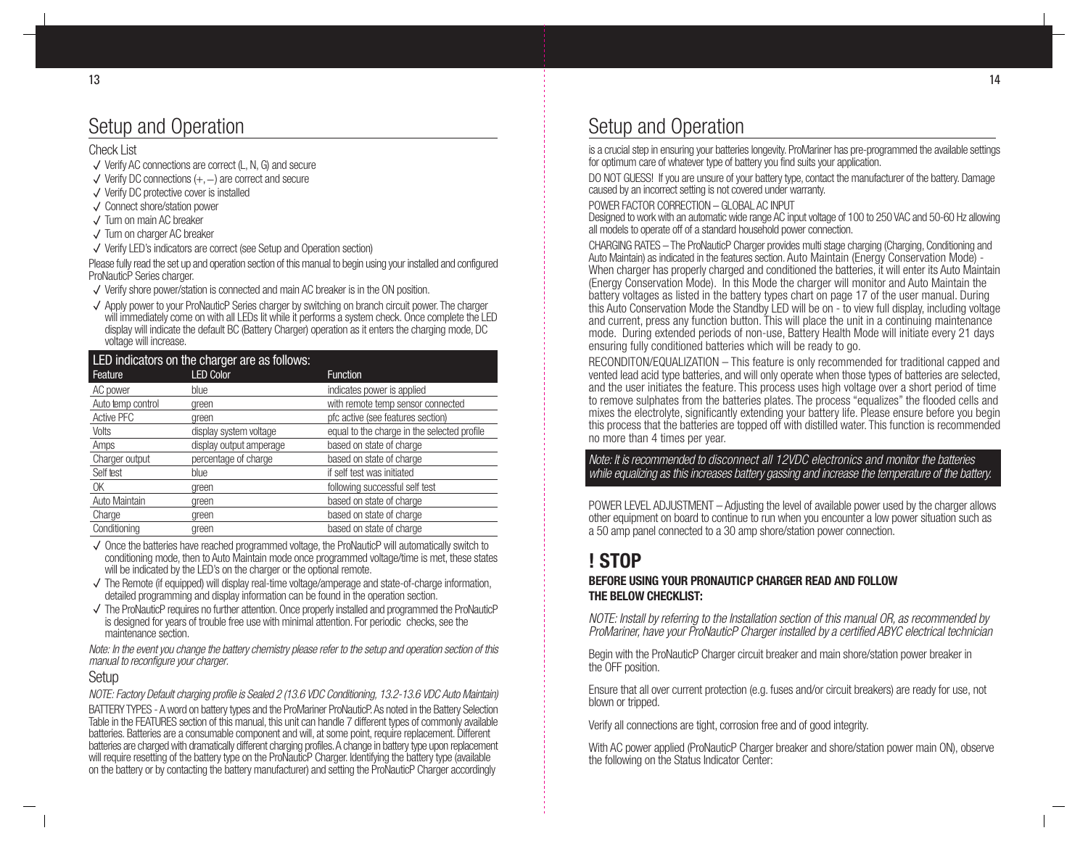# Setup and Operation

#### Check List

- $\sqrt{\ }$  Verify AC connections are correct (L, N, G) and secure
- Verify DC connections (+, -) are correct and secure
- $\sqrt{}$  Verify DC protective cover is installed
- Connect shore/station power
- Turn on main AC breaker
- $\sqrt{\ }$  Turn on charger AC breaker
- Verify LED's indicators are correct (see Setup and Operation section)

Please fully read the set up and operation section of this manual to begin using your installed and configured ProNauticP Series charger.

- Verify shore power/station is connected and main AC breaker is in the ON position.
- $\sqrt{\ }$  Apply power to your ProNauticP Series charger by switching on branch circuit power. The charger will immediately come on with all LEDs lit while it performs a system check. Once complete the LED display will indicate the default BC (Battery Charger) operation as it enters the charging mode, DC voltage will increase.

| LED indicators on the charger are as follows: |                         |                                             |  |  |
|-----------------------------------------------|-------------------------|---------------------------------------------|--|--|
| Feature                                       | <b>LED Color</b>        | <b>Function</b>                             |  |  |
| AC power                                      | blue                    | indicates power is applied                  |  |  |
| Auto temp control                             | green                   | with remote temp sensor connected           |  |  |
| <b>Active PFC</b>                             | green                   | pfc active (see features section)           |  |  |
| Volts                                         | display system voltage  | equal to the charge in the selected profile |  |  |
| Amps                                          | display output amperage | based on state of charge                    |  |  |
| Charger output                                | percentage of charge    | based on state of charge                    |  |  |
| Self test                                     | blue                    | if self test was initiated                  |  |  |
| 0K                                            | green                   | following successful self test              |  |  |
| Auto Maintain                                 | green                   | based on state of charge                    |  |  |
| Charge                                        | green                   | based on state of charge                    |  |  |
| Conditioning                                  | green                   | based on state of charge                    |  |  |

- $\sqrt{\ }$  Once the batteries have reached programmed voltage, the ProNauticP will automatically switch to conditioning mode, then to Auto Maintain mode once programmed voltage/time is met, these states will be indicated by the LED's on the charger or the optional remote.
- $\sqrt{\phantom{a}}$  The Remote (if equipped) will display real-time voltage/amperage and state-of-charge information, detailed programming and display information can be found in the operation section.
- $\checkmark$  The ProNauticP requires no further attention. Once properly installed and programmed the ProNauticP is designed for years of trouble free use with minimal attention. For periodic checks, see the maintenance section.

Note: In the event you change the battery chemistry please refer to the setup and operation section of this manual to reconfigure your charger.

#### Setup

NOTE: Factory Default charging profile is Sealed 2 (13.6 VDC Conditioning, 13.2-13.6 VDC Auto Maintain)

BATTERY TYPES - A word on battery types and the ProMariner ProNauticP. As noted in the Battery Selection Table in the FEATURES section of this manual, this unit can handle 7 different types of commonly available batteries. Batteries are a consumable component and will, at some point, require replacement. Different batteries are charged with dramatically different charging profiles. A change in battery type upon replacement will require resetting of the battery type on the ProNauticP Charger. Identifying the battery type (available on the battery or by contacting the battery manufacturer) and setting the ProNauticP Charger accordingly

# Setup and Operation

is a crucial step in ensuring your batteries longevity. ProMariner has pre-programmed the available settings for optimum care of whatever type of battery you find suits your application.

DO NOT GUESS! If you are unsure of your battery type, contact the manufacturer of the battery. Damage caused by an incorrect setting is not covered under warranty.

POWER FACTOR CORRECTION – GLOBAL AC INPUT

Designed to work with an automatic wide range AC input voltage of 100 to 250 VAC and 50-60 Hz allowing all models to operate off of a standard household power connection.

CHARGING RATES – The ProNauticP Charger provides multi stage charging (Charging, Conditioning and Auto Maintain) as indicated in the features section. Auto Maintain (Energy Conservation Mode) - When charger has properly charged and conditioned the batteries, it will enter its Auto Maintain (Energy Conservation Mode). In this Mode the charger will monitor and Auto Maintain the battery voltages as listed in the battery types chart on page 17 of the user manual. During this Auto Conservation Mode the Standby LED will be on - to view full display, including voltage and current, press any function button. This will place the unit in a continuing maintenance mode. During extended periods of non-use, Battery Health Mode will initiate every 21 days ensuring fully conditioned batteries which will be ready to go.

RECONDITON/EQUALIZATION – This feature is only recommended for traditional capped and vented lead acid type batteries, and will only operate when those types of batteries are selected, and the user initiates the feature. This process uses high voltage over a short period of time to remove sulphates from the batteries plates. The process "equalizes" the flooded cells and mixes the electrolyte, significantly extending your battery life. Please ensure before you begin this process that the batteries are topped off with distilled water. This function is recommended no more than 4 times per year.

Note: It is recommended to disconnect all 12VDC electronics and monitor the batteries while equalizing as this increases battery gassing and increase the temperature of the battery.

POWER LEVEL ADJUSTMENT – Adjusting the level of available power used by the charger allows other equipment on board to continue to run when you encounter a low power situation such as a 50 amp panel connected to a 30 amp shore/station power connection.

# **! STOP**

#### **BEFORE USING YOUR PRONAUTICP CHARGER READ AND FOLLOW THE BELOW CHECKLIST:**

NOTE: Install by referring to the Installation section of this manual OR, as recommended by ProMariner, have your ProNauticP Charger installed by a certified ABYC electrical technician

Begin with the ProNauticP Charger circuit breaker and main shore/station power breaker in the OFF position.

Ensure that all over current protection (e.g. fuses and/or circuit breakers) are ready for use, not blown or tripped.

Verify all connections are tight, corrosion free and of good integrity.

With AC power applied (ProNauticP Charger breaker and shore/station power main ON), observe the following on the Status Indicator Center: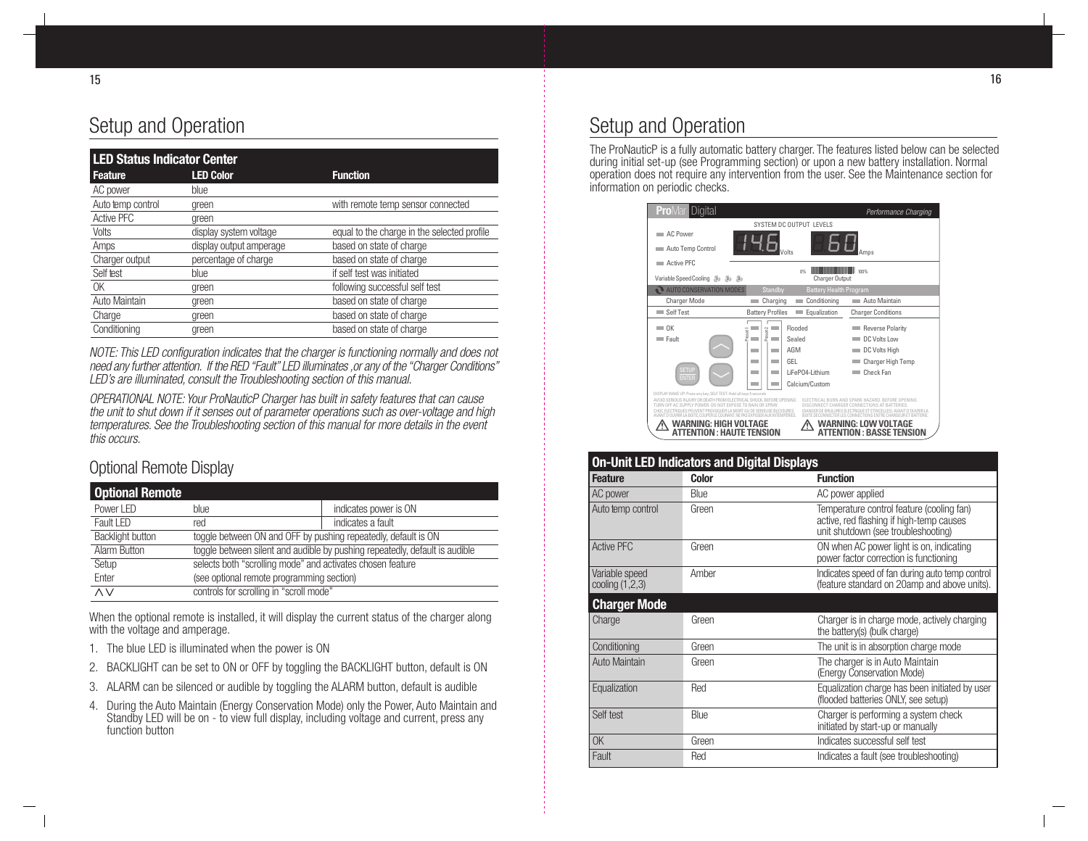# Setup and Operation

| <b>LED Status Indicator Center</b> |                         |                                             |  |
|------------------------------------|-------------------------|---------------------------------------------|--|
| Feature                            | <b>LED Color</b>        | <b>Function</b>                             |  |
| AC power                           | blue                    |                                             |  |
| Auto temp control                  | green                   | with remote temp sensor connected           |  |
| Active PFC                         | green                   |                                             |  |
| Volts                              | display system voltage  | equal to the charge in the selected profile |  |
| Amps                               | display output amperage | based on state of charge                    |  |
| Charger output                     | percentage of charge    | based on state of charge                    |  |
| Self test                          | blue                    | if self test was initiated                  |  |
| 0K                                 | green                   | following successful self test              |  |
| Auto Maintain                      | green                   | based on state of charge                    |  |
| Charge                             | green                   | based on state of charge                    |  |
| Conditioning                       | green                   | based on state of charge                    |  |

NOTE: This LED configuration indicates that the charger is functioning normally and does not need any further attention. If the RED "Fault" LED illuminates ,or any of the "Charger Conditions" LED's are illuminated, consult the Troubleshooting section of this manual.

OPERATIONAL NOTE: Your ProNauticP Charger has built in safety features that can cause the unit to shut down if it senses out of parameter operations such as over-voltage and high temperatures. See the Troubleshooting section of this manual for more details in the event this occurs.

### Optional Remote Display

| <b>Optional Remote</b>  |                                                                             |                       |  |
|-------------------------|-----------------------------------------------------------------------------|-----------------------|--|
| Power LED               | blue                                                                        | indicates power is ON |  |
| Fault LED               | red                                                                         | indicates a fault     |  |
| <b>Backlight button</b> | toggle between ON and OFF by pushing repeatedly, default is ON              |                       |  |
| Alarm Button            | toggle between silent and audible by pushing repeatedly, default is audible |                       |  |
| Setup                   | selects both "scrolling mode" and activates chosen feature                  |                       |  |
| Enter                   | (see optional remote programming section)                                   |                       |  |
| $\overline{\wedge v}$   | controls for scrolling in "scroll mode"                                     |                       |  |

When the optional remote is installed, it will display the current status of the charger along with the voltage and amperage.

- 1. The blue LED is illuminated when the power is ON
- 2. BACKLIGHT can be set to ON or OFF by toggling the BACKLIGHT button, default is ON
- 3. ALARM can be silenced or audible by toggling the ALARM button, default is audible
- 4. During the Auto Maintain (Energy Conservation Mode) only the Power, Auto Maintain and Standby LED will be on - to view full display, including voltage and current, press any function button

### Setup and Operation

The ProNauticP is a fully automatic battery charger. The features listed below can be selected during initial set-up (see Programming section) or upon a new battery installation. Normal operation does not require any intervention from the user. See the Maintenance section for information on periodic checks.



| <b>On-Unit LED Indicators and Digital Displays</b> |             |                                                                                                                              |  |
|----------------------------------------------------|-------------|------------------------------------------------------------------------------------------------------------------------------|--|
| <b>Feature</b>                                     | Color       | <b>Function</b>                                                                                                              |  |
| AC power                                           | <b>Blue</b> | AC power applied                                                                                                             |  |
| Auto temp control                                  | Green       | Temperature control feature (cooling fan)<br>active, red flashing if high-temp causes<br>unit shutdown (see troubleshooting) |  |
| <b>Active PFC</b>                                  | Green       | ON when AC power light is on, indicating<br>power factor correction is functioning                                           |  |
| Variable speed<br>cooling $(1,2,3)$                | Amber       | Indicates speed of fan during auto temp control<br>(feature standard on 20amp and above units).                              |  |
| <b>Charger Mode</b>                                |             |                                                                                                                              |  |
| Charge                                             | Green       | Charger is in charge mode, actively charging<br>the battery(s) (bulk charge)                                                 |  |
| Conditioning                                       | Green       | The unit is in absorption charge mode                                                                                        |  |
| Auto Maintain                                      | Green       | The charger is in Auto Maintain<br>(Energy Conservation Mode)                                                                |  |
| Equalization                                       | Red         | Equalization charge has been initiated by user<br>(flooded batteries ONLY, see setup)                                        |  |
| Self test                                          | Blue        | Charger is performing a system check<br>initiated by start-up or manually                                                    |  |
| OK                                                 | Green       | Indicates successful self test                                                                                               |  |
| Fault                                              | Red         | Indicates a fault (see troubleshooting)                                                                                      |  |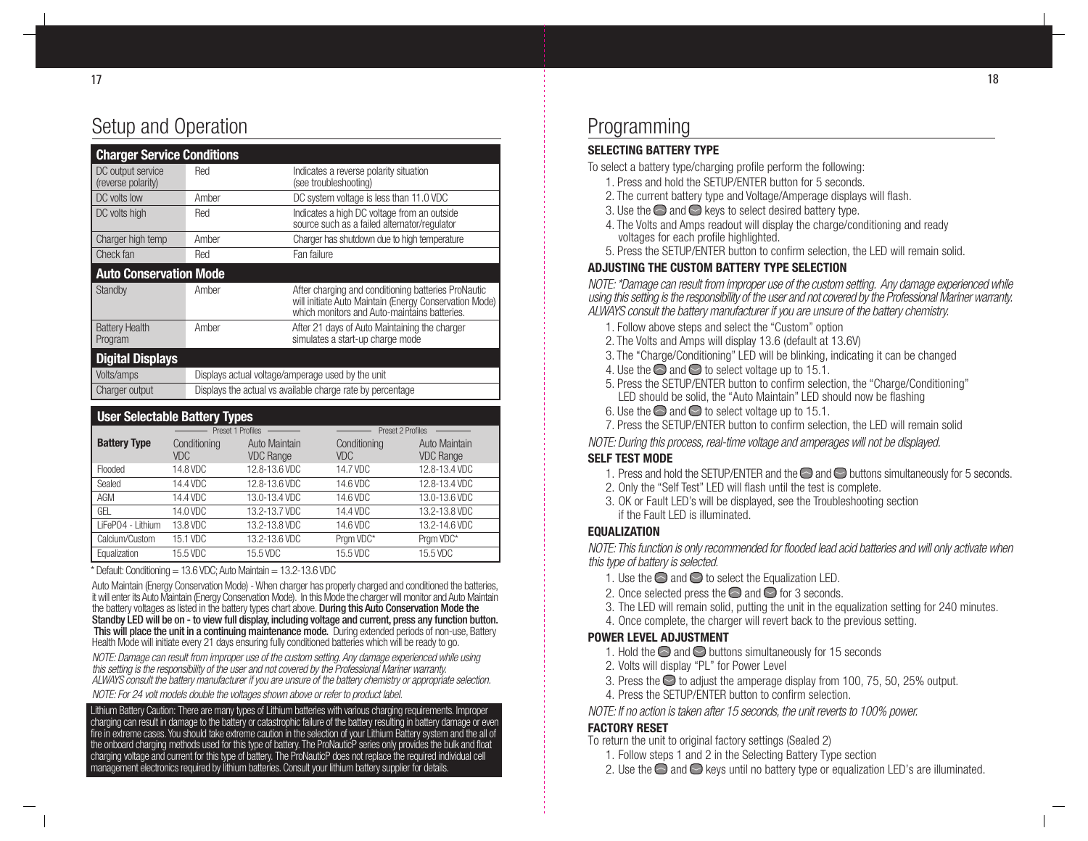# Setup and Operation

| <b>Charger Service Conditions</b>       |       |                                                                                                                                                               |
|-----------------------------------------|-------|---------------------------------------------------------------------------------------------------------------------------------------------------------------|
| DC output service<br>(reverse polarity) | Red   | Indicates a reverse polarity situation<br>(see troubleshooting)                                                                                               |
| DC volts low                            | Amber | DC system voltage is less than 11.0 VDC                                                                                                                       |
| DC volts high                           | Red   | Indicates a high DC voltage from an outside<br>source such as a failed alternator/regulator                                                                   |
| Charger high temp                       | Amber | Charger has shutdown due to high temperature                                                                                                                  |
| Check fan                               | Red   | Fan failure                                                                                                                                                   |
| <b>Auto Conservation Mode</b>           |       |                                                                                                                                                               |
| Standby                                 | Amber | After charging and conditioning batteries ProNautic<br>will initiate Auto Maintain (Energy Conservation Mode)<br>which monitors and Auto-maintains batteries. |
| <b>Battery Health</b><br>Program        | Amber | After 21 davs of Auto Maintaining the charger<br>simulates a start-up charge mode                                                                             |
| <b>Digital Displays</b>                 |       |                                                                                                                                                               |
| Volts/amps                              |       | Displays actual voltage/amperage used by the unit                                                                                                             |
| Charger output                          |       | Displays the actual vs available charge rate by percentage                                                                                                    |

| <b>User Selectable Battery Types</b> |                     |                                   |                     |                                   |  |  |
|--------------------------------------|---------------------|-----------------------------------|---------------------|-----------------------------------|--|--|
|                                      | Preset 1 Profiles   |                                   |                     | Preset 2 Profiles                 |  |  |
| <b>Battery Type</b>                  | Conditioning<br>VDC | Auto Maintain<br><b>VDC Range</b> | Conditioning<br>VDC | Auto Maintain<br><b>VDC Range</b> |  |  |
| Flooded                              | 14.8 VDC            | 12.8-13.6 VDC                     | 14.7 VDC            | 12.8-13.4 VDC                     |  |  |
| Sealed                               | 14.4 VDC            | 12.8-13.6 VDC                     | 14.6 VDC            | 12.8-13.4 VDC                     |  |  |
| AGM                                  | 14.4 VDC            | 13.0-13.4 VDC                     | 14.6 VDC            | 13.0-13.6 VDC                     |  |  |
| GEL                                  | 14.0 VDC            | 13.2-13.7 VDC                     | 14.4 VDC            | 13.2-13.8 VDC                     |  |  |
| LiFePO4 - Lithium                    | 13.8 VDC            | 13.2-13.8 VDC                     | 14.6 VDC            | 13.2-14.6 VDC                     |  |  |
| Calcium/Custom                       | 15.1 VDC            | 13.2-13.6 VDC                     | Prgm VDC*           | Pram VDC*                         |  |  |
| Equalization                         | 15.5 VDC            | 15.5 VDC                          | 15.5 VDC            | 15.5 VDC                          |  |  |

 $*$  Default: Conditioning = 13.6 VDC; Auto Maintain = 13.2-13.6 VDC

Auto Maintain (Energy Conservation Mode) - When charger has properly charged and conditioned the batteries, it will enter its Auto Maintain (Energy Conservation Mode). In this Mode the charger will monitor and Auto Maintain the battery voltages as listed in the battery types chart above. During this Auto Conservation Mode the Standby LED will be on - to view full display, including voltage and current, press any function button. This will place the unit in a continuing maintenance mode. During extended periods of non-use, Battery Health Mode will initiate every 21 days ensuring fully conditioned batteries which will be ready to go.

NOTE: Damage can result from improper use of the custom setting. Any damage experienced while using this setting is the responsibility of the user and not covered by the Professional Mariner warranty. ALWAYS consult the battery manufacturer if you are unsure of the battery chemistry or appropriate selection. NOTE: For 24 volt models double the voltages shown above or refer to product label.

Lithium Battery Caution: There are many types of Lithium batteries with various charging requirements. Improper charging can result in damage to the battery or catastrophic failure of the battery resulting in battery damage or even fire in extreme cases. You should take extreme caution in the selection of your Lithium Battery system and the all of the onboard charging methods used for this type of battery. The ProNauticP series only provides the bulk and float charging voltage and current for this type of battery. The ProNauticP does not replace the required individual cell management electronics required by lithium batteries. Consult your lithium battery supplier for details.

### Programming

#### **SELECTING BATTERY TYPE**

To select a battery type/charging profile perform the following:

- 1. Press and hold the SETUP/ENTER button for 5 seconds.
- 2. The current battery type and Voltage/Amperage displays will flash.
- 3. Use the  $\ominus$  and  $\ominus$  keys to select desired battery type.
- 4. The Volts and Amps readout will display the charge/conditioning and ready voltages for each profile highlighted.
- 5. Press the SETUP/ENTER button to confirm selection, the LED will remain solid.

#### **ADJUSTING THE CUSTOM BATTERY TYPE SELECTION**

NOTE: \*Damage can result from improper use of the custom setting. Any damage experienced while using this setting is the responsibility of the user and not covered by the Professional Mariner warranty. ALWAYS consult the battery manufacturer if you are unsure of the battery chemistry.

- 1. Follow above steps and select the "Custom" option
- 2. The Volts and Amps will display 13.6 (default at 13.6V)
- 3. The "Charge/Conditioning" LED will be blinking, indicating it can be changed
- 4. Use the  $\odot$  and  $\odot$  to select voltage up to 15.1.
- 5. Press the SETUP/ENTER button to confirm selection, the "Charge/Conditioning" LED should be solid, the "Auto Maintain" LED should now be flashing
- 6. Use the  $\odot$  and  $\odot$  to select voltage up to 15.1.
- 7. Press the SETUP/ENTER button to confirm selection, the LED will remain solid

NOTE: During this process, real-time voltage and amperages will not be displayed.

#### **SELF TEST MODE**

- 1. Press and hold the SETUP/ENTER and the  $\bigcirc$  and  $\bigcirc$  buttons simultaneously for 5 seconds.
- 2. Only the "Self Test" LED will flash until the test is complete.
- 3. OK or Fault LED's will be displayed, see the Troubleshooting section if the Fault LED is illuminated.

#### **EQUALIZATION**

NOTE: This function is only recommended for flooded lead acid batteries and will only activate when this type of battery is selected.

- 1. Use the  $\odot$  and  $\odot$  to select the Equalization LED.
- 2. Once selected press the  $\bigcirc$  and  $\bigcirc$  for 3 seconds.
- 3. The LED will remain solid, putting the unit in the equalization setting for 240 minutes.
- 4. Once complete, the charger will revert back to the previous setting.

#### **POWER LEVEL ADJUSTMENT**

- 1. Hold the  $\odot$  and  $\odot$  buttons simultaneously for 15 seconds
- 2. Volts will display "PL" for Power Level
- 3. Press the  $\odot$  to adjust the amperage display from 100, 75, 50, 25% output.
- 4. Press the SETUP/ENTER button to confirm selection.

#### NOTE: If no action is taken after 15 seconds, the unit reverts to 100% power.

#### **FACTORY RESET**

- To return the unit to original factory settings (Sealed 2)
	- 1. Follow steps 1 and 2 in the Selecting Battery Type section
	- 2. Use the  $\odot$  and  $\odot$  keys until no battery type or equalization LED's are illuminated.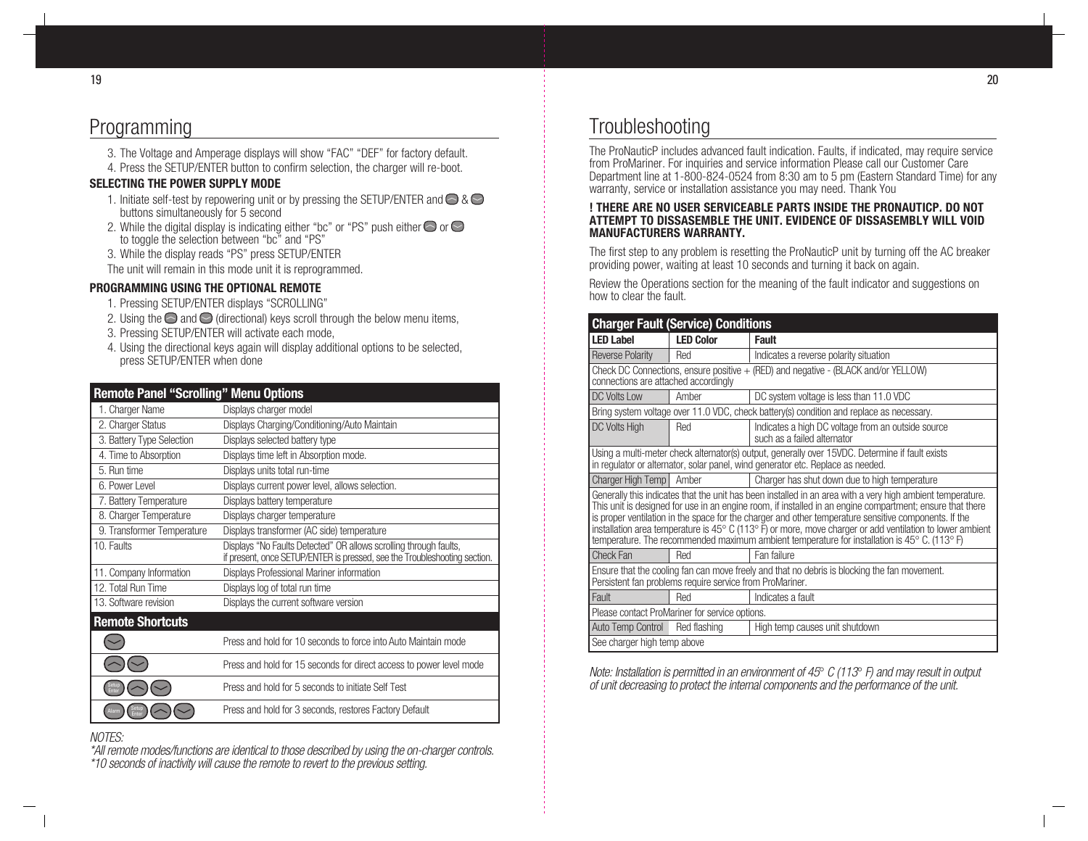# Programming

- 3. The Voltage and Amperage displays will show "FAC" "DEF" for factory default.
- 4. Press the SETUP/ENTER button to confirm selection, the charger will re-boot.

#### **SELECTING THE POWER SUPPLY MODE**

- 1. Initiate self-test by repowering unit or by pressing the SETUP/ENTER and  $\bigcirc$  &  $\bigcirc$ buttons simultaneously for 5 second
- 2. While the digital display is indicating either "bc" or "PS" push either  $\bigcirc$  or  $\bigcirc$ to toggle the selection between "bc" and "PS"
- 3. While the display reads "PS" press SETUP/ENTER

The unit will remain in this mode unit it is reprogrammed.

#### **PROGRAMMING USING THE OPTIONAL REMOTE**

- 1. Pressing SETUP/ENTER displays "SCROLLING"
- 2. Using the  $\bigcirc$  and  $\bigcirc$  (directional) keys scroll through the below menu items,
- 3. Pressing SETUP/ENTER will activate each mode,
- 4. Using the directional keys again will display additional options to be selected, press SETUP/ENTER when done

| <b>Remote Panel "Scrolling" Menu Options</b> |                                                                                                                                                |  |  |  |
|----------------------------------------------|------------------------------------------------------------------------------------------------------------------------------------------------|--|--|--|
| 1. Charger Name                              | Displays charger model                                                                                                                         |  |  |  |
| 2. Charger Status                            | Displays Charging/Conditioning/Auto Maintain                                                                                                   |  |  |  |
| 3. Battery Type Selection                    | Displays selected battery type                                                                                                                 |  |  |  |
| 4. Time to Absorption                        | Displays time left in Absorption mode.                                                                                                         |  |  |  |
| 5. Run time                                  | Displays units total run-time                                                                                                                  |  |  |  |
| 6. Power Level                               | Displays current power level, allows selection.                                                                                                |  |  |  |
| 7. Battery Temperature                       | Displays battery temperature                                                                                                                   |  |  |  |
| 8. Charger Temperature                       | Displays charger temperature                                                                                                                   |  |  |  |
| 9. Transformer Temperature                   | Displays transformer (AC side) temperature                                                                                                     |  |  |  |
| 10. Faults                                   | Displays "No Faults Detected" OR allows scrolling through faults,<br>if present, once SETUP/ENTER is pressed, see the Troubleshooting section. |  |  |  |
| 11. Company Information                      | Displays Professional Mariner information                                                                                                      |  |  |  |
| 12. Total Run Time                           | Displays log of total run time                                                                                                                 |  |  |  |
| 13. Software revision                        | Displays the current software version                                                                                                          |  |  |  |
| <b>Remote Shortcuts</b>                      |                                                                                                                                                |  |  |  |
|                                              | Press and hold for 10 seconds to force into Auto Maintain mode                                                                                 |  |  |  |
|                                              | Press and hold for 15 seconds for direct access to power level mode                                                                            |  |  |  |
|                                              | Press and hold for 5 seconds to initiate Self Test                                                                                             |  |  |  |
|                                              | Press and hold for 3 seconds, restores Factory Default                                                                                         |  |  |  |

#### NOTES:

\*All remote modes/functions are identical to those described by using the on-charger controls. \*10 seconds of inactivity will cause the remote to revert to the previous setting.

# **Troubleshooting**

The ProNauticP includes advanced fault indication. Faults, if indicated, may require service from ProMariner. For inquiries and service information Please call our Customer Care Department line at 1-800-824-0524 from 8:30 am to 5 pm (Eastern Standard Time) for any warranty, service or installation assistance you may need. Thank You

#### **! THERE ARE NO USER SERVICEABLE PARTS INSIDE THE PRONAUTICP. DO NOT ATTEMPT TO DISSASEMBLE THE UNIT. EVIDENCE OF DISSASEMBLY WILL VOID MANUFACTURERS WARRANTY.**

The first step to any problem is resetting the ProNauticP unit by turning off the AC breaker providing power, waiting at least 10 seconds and turning it back on again.

Review the Operations section for the meaning of the fault indicator and suggestions on how to clear the fault.

| <b>Charger Fault (Service) Conditions</b>                                                                                                                                                                                                                                                                                                                                                                                                                                                                                                                                          |                             |                                                                                   |  |  |  |
|------------------------------------------------------------------------------------------------------------------------------------------------------------------------------------------------------------------------------------------------------------------------------------------------------------------------------------------------------------------------------------------------------------------------------------------------------------------------------------------------------------------------------------------------------------------------------------|-----------------------------|-----------------------------------------------------------------------------------|--|--|--|
| <b>LED Label</b>                                                                                                                                                                                                                                                                                                                                                                                                                                                                                                                                                                   | <b>LED Color</b>            | <b>Fault</b>                                                                      |  |  |  |
| <b>Reverse Polarity</b>                                                                                                                                                                                                                                                                                                                                                                                                                                                                                                                                                            | Red                         | Indicates a reverse polarity situation                                            |  |  |  |
| Check DC Connections, ensure positive $+$ (RED) and negative - (BLACK and/or YELLOW)<br>connections are attached accordingly                                                                                                                                                                                                                                                                                                                                                                                                                                                       |                             |                                                                                   |  |  |  |
| DC Volts Low                                                                                                                                                                                                                                                                                                                                                                                                                                                                                                                                                                       | Amber                       | DC system voltage is less than 11.0 VDC                                           |  |  |  |
| Bring system voltage over 11.0 VDC, check battery(s) condition and replace as necessary.                                                                                                                                                                                                                                                                                                                                                                                                                                                                                           |                             |                                                                                   |  |  |  |
| <b>DC Volts High</b>                                                                                                                                                                                                                                                                                                                                                                                                                                                                                                                                                               | Red                         | Indicates a high DC voltage from an outside source<br>such as a failed alternator |  |  |  |
| Using a multi-meter check alternator(s) output, generally over 15VDC. Determine if fault exists<br>in regulator or alternator, solar panel, wind generator etc. Replace as needed.                                                                                                                                                                                                                                                                                                                                                                                                 |                             |                                                                                   |  |  |  |
| <b>Charger High Temp</b>                                                                                                                                                                                                                                                                                                                                                                                                                                                                                                                                                           | Amber                       | Charger has shut down due to high temperature                                     |  |  |  |
| Generally this indicates that the unit has been installed in an area with a very high ambient temperature.<br>This unit is designed for use in an engine room, if installed in an engine compartment; ensure that there<br>is proper ventilation in the space for the charger and other temperature sensitive components. If the<br>installation area temperature is $45^{\circ}$ C (113 $^{\circ}$ F) or more, move charger or add ventilation to lower ambient<br>temperature. The recommended maximum ambient temperature for installation is 45 $\degree$ C. (113 $\degree$ F) |                             |                                                                                   |  |  |  |
| Check Fan                                                                                                                                                                                                                                                                                                                                                                                                                                                                                                                                                                          | Red                         | Fan failure                                                                       |  |  |  |
| Ensure that the cooling fan can move freely and that no debris is blocking the fan movement.<br>Persistent fan problems require service from ProMariner.                                                                                                                                                                                                                                                                                                                                                                                                                           |                             |                                                                                   |  |  |  |
| Fault                                                                                                                                                                                                                                                                                                                                                                                                                                                                                                                                                                              | Red                         | Indicates a fault                                                                 |  |  |  |
| Please contact ProMariner for service options.                                                                                                                                                                                                                                                                                                                                                                                                                                                                                                                                     |                             |                                                                                   |  |  |  |
| Auto Temp Control                                                                                                                                                                                                                                                                                                                                                                                                                                                                                                                                                                  | Red flashing                | High temp causes unit shutdown                                                    |  |  |  |
|                                                                                                                                                                                                                                                                                                                                                                                                                                                                                                                                                                                    | See charger high temp above |                                                                                   |  |  |  |

Note: Installation is permitted in an environment of 45 $\degree$  C (113 $\degree$  F) and may result in output of unit decreasing to protect the internal components and the performance of the unit.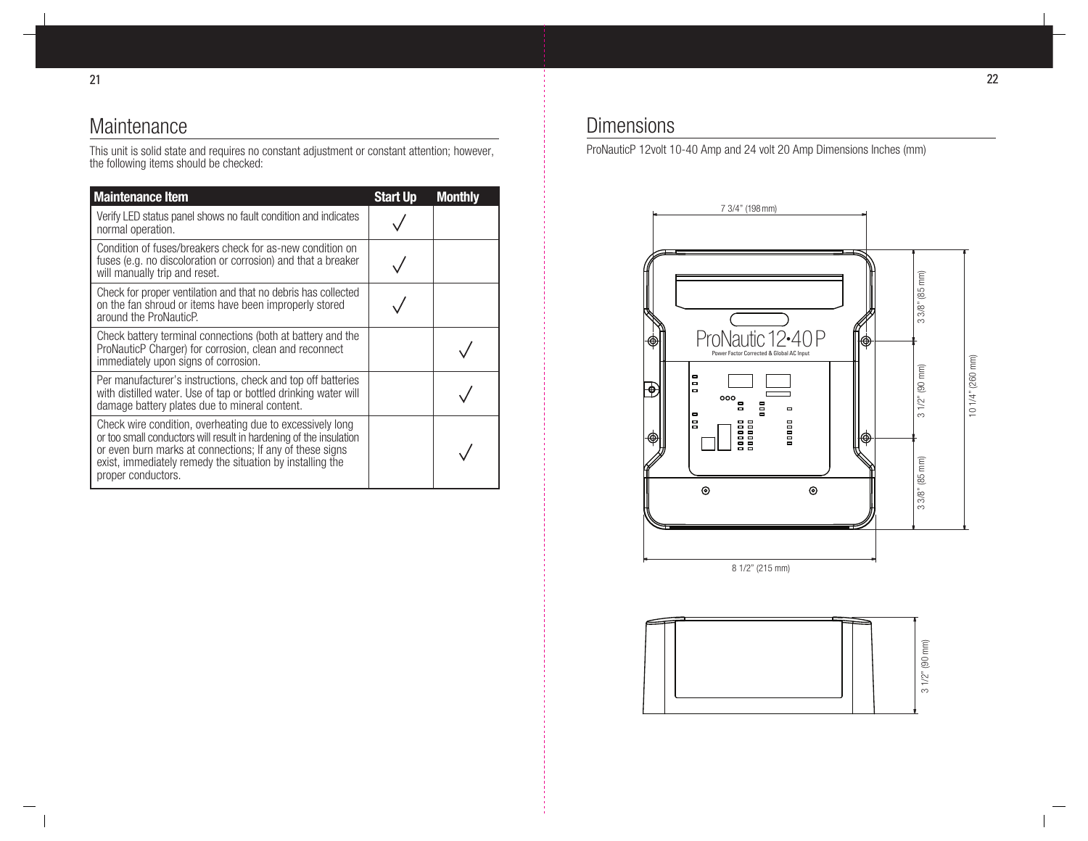# Maintenance

This unit is solid state and requires no constant adjustment or constant attention; however, the following items should be checked:

| <b>Maintenance Item</b>                                                                                                                                                                                                                                                        | <b>Start Up</b> | <b>Monthly</b> |
|--------------------------------------------------------------------------------------------------------------------------------------------------------------------------------------------------------------------------------------------------------------------------------|-----------------|----------------|
| Verify LED status panel shows no fault condition and indicates<br>normal operation.                                                                                                                                                                                            |                 |                |
| Condition of fuses/breakers check for as-new condition on<br>fuses (e.g. no discoloration or corrosion) and that a breaker<br>will manually trip and reset.                                                                                                                    |                 |                |
| Check for proper ventilation and that no debris has collected<br>on the fan shroud or items have been improperly stored<br>around the ProNauticP.                                                                                                                              |                 |                |
| Check battery terminal connections (both at battery and the<br>ProNauticP Charger) for corrosion, clean and reconnect<br>immediately upon signs of corrosion.                                                                                                                  |                 |                |
| Per manufacturer's instructions, check and top off batteries<br>with distilled water. Use of tap or bottled drinking water will<br>damage battery plates due to mineral content.                                                                                               |                 |                |
| Check wire condition, overheating due to excessively long<br>or too small conductors will result in hardening of the insulation<br>or even burn marks at connections; If any of these signs<br>exist, immediately remedy the situation by installing the<br>proper conductors. |                 |                |

### **Dimensions**

ProNauticP 12volt 10-40 Amp and 24 volt 20 Amp Dimensions Inches (mm)

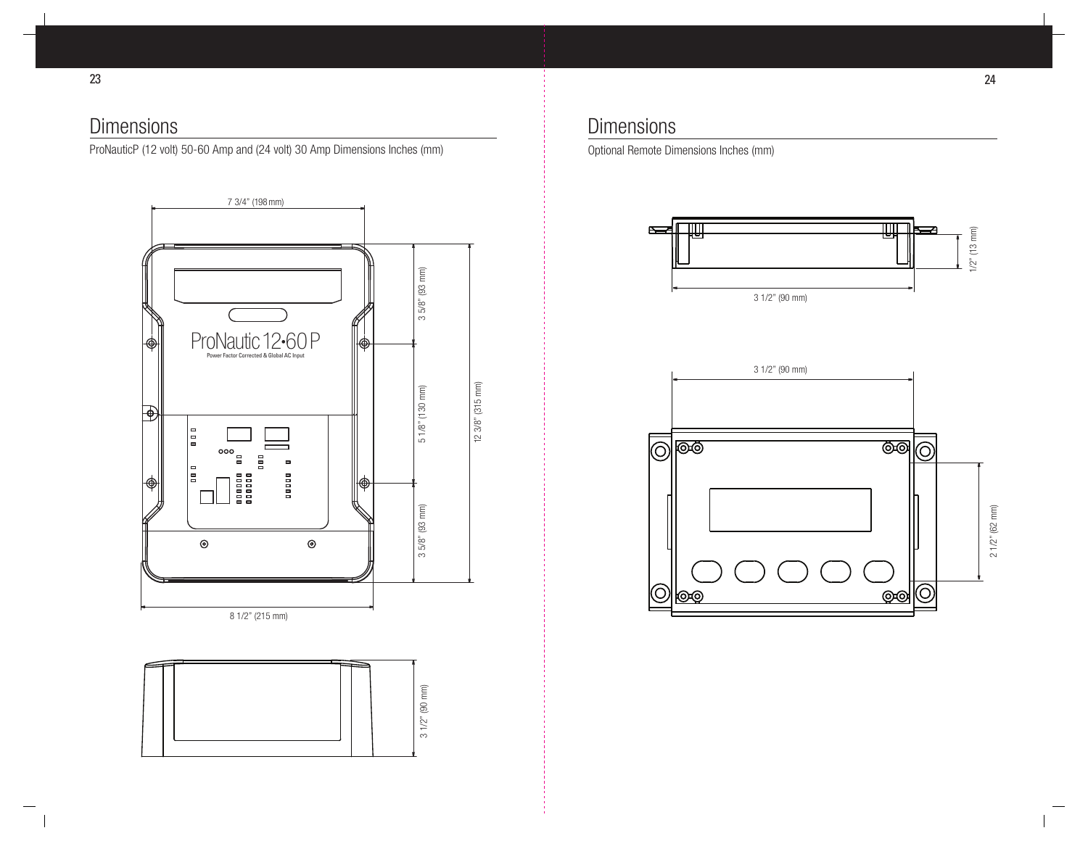## **Dimensions**

ProNauticP (12 volt) 50-60 Amp and (24 volt) 30 Amp Dimensions Inches (mm)



### **Dimensions**

Optional Remote Dimensions Inches (mm)



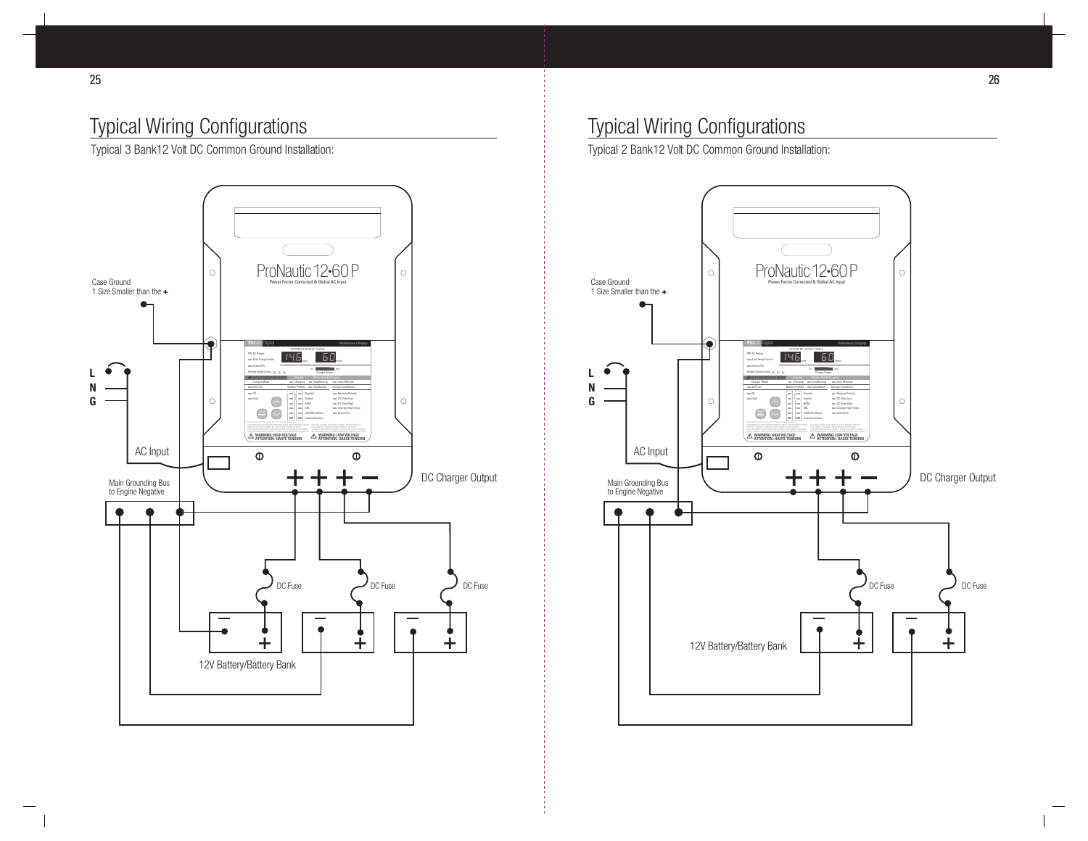# Typical Wiring Configurations

Typical 3 Bank12 Volt DC Common Ground Installation:



# Typical Wiring Configurations

Typical 2 Bank12 Volt DC Common Ground Installation:

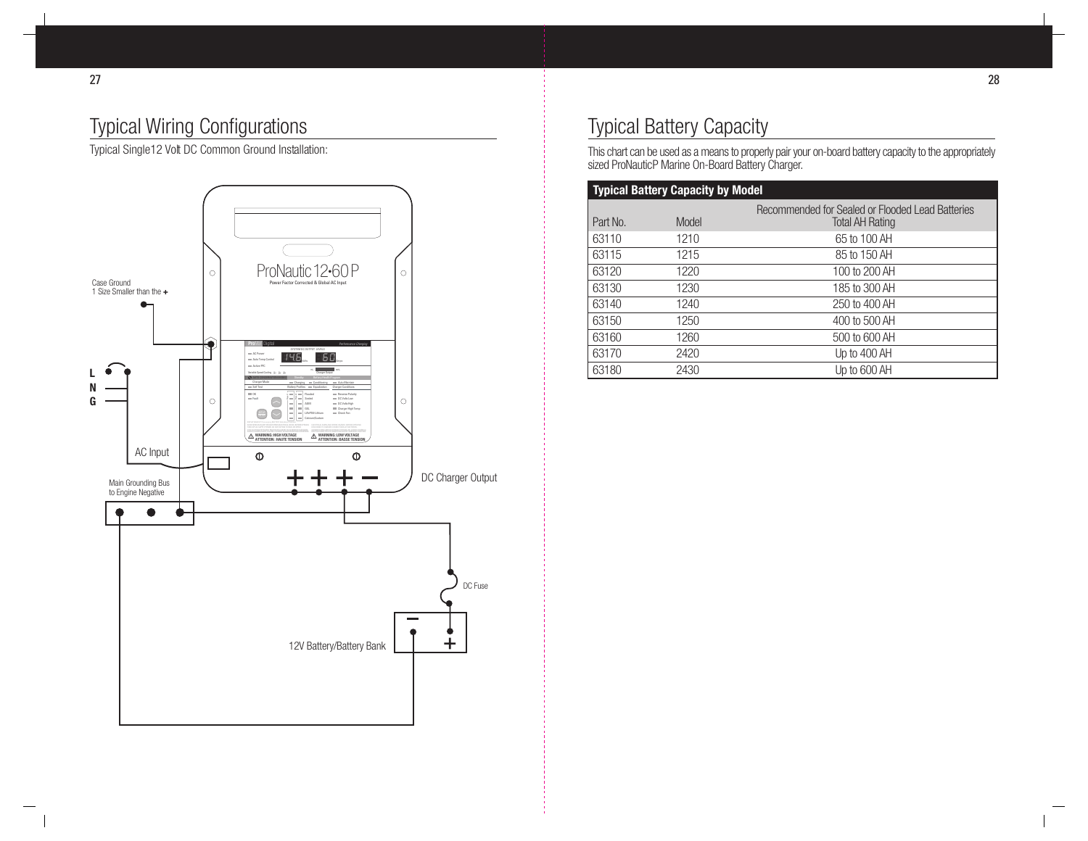# Typical Wiring Configurations

Typical Single12 Volt DC Common Ground Installation:



# Typical Battery Capacity

This chart can be used as a means to properly pair your on-board battery capacity to the appropriately sized ProNauticP Marine On-Board Battery Charger.

| <b>Typical Battery Capacity by Model</b> |       |                                                                            |  |  |
|------------------------------------------|-------|----------------------------------------------------------------------------|--|--|
| Part No.                                 | Model | Recommended for Sealed or Flooded Lead Batteries<br><b>Total AH Rating</b> |  |  |
| 63110                                    | 1210  | 65 to 100 AH                                                               |  |  |
| 63115                                    | 1215  | 85 to 150 AH                                                               |  |  |
| 63120                                    | 1220  | 100 to 200 AH                                                              |  |  |
| 63130                                    | 1230  | 185 to 300 AH                                                              |  |  |
| 63140                                    | 1240  | 250 to 400 AH                                                              |  |  |
| 63150                                    | 1250  | 400 to 500 AH                                                              |  |  |
| 63160                                    | 1260  | 500 to 600 AH                                                              |  |  |
| 63170                                    | 2420  | Up to 400 AH                                                               |  |  |
| 63180                                    | 2430  | Up to 600 AH                                                               |  |  |